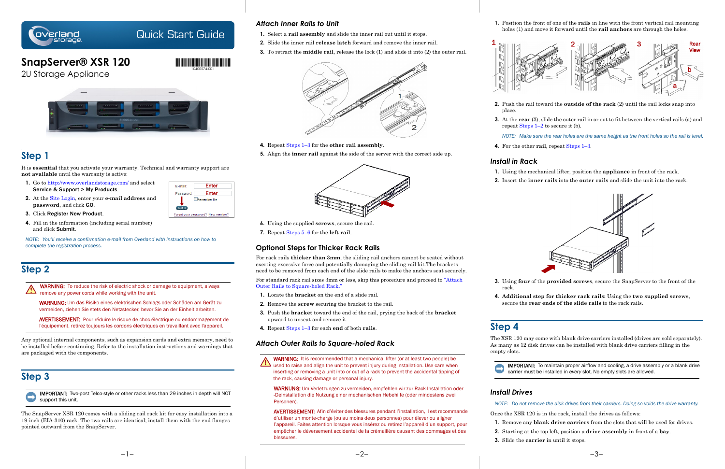

# Quick Start Guide

**1.** Position the front of one of the **rails** in line with the front vertical rail mounting holes (1) and move it forward until the **rail anchors** are through the holes.

**2.** Push the rail toward the **outside of the rack** (2) until the rail locks snap into

- place.
- 

**3.** At the **rear** (3), slide the outer rail in or out to fit between the vertical rails (a) and repeat Steps 1–2 to secure it (b).

*NOTE: Make sure the rear holes are the same height as the front holes so the rail is level.* **4.** For the other **rail**, repeat Steps 1–3.

## *Install in Rack*

- 
- 

**1.** Using the mechanical lifter, position the **appliance** in front of the rack.

**2.** Insert the **inner rails** into the **outer rails** and slide the unit into the rack.



**3.** Using **four** of the **provided screws**, secure the SnapServer to the front of the

- rack.
- 

**4. Additional step for thicker rack rails:** Using the **two supplied screws**, secure the **rear ends of the slide rails** to the rack rails.

# **Step 4**

The XSR 120 may come with blank drive carriers installed (drives are sold separately). As many as 12 disk drives can be installed with blank drive carriers filling in the

empty slots.



IMPORTANT: To maintain proper airflow and cooling, a drive assembly or a blank drive carrier must be installed in *every* slot. No empty slots are allowed.

## *Install Drives*

*NOTE: Do not remove the disk drives from their carriers. Doing so voids the drive warranty.*

- 
- 
- 
- 



Once the XSR 120 is in the rack, install the drives as follows:

**1.** Remove any **blank drive carriers** from the slots that will be used for drives.

<span id="page-0-4"></span>**2.** Starting at the top left, position a **drive assembly** in front of a **bay**.

WARNING: It is recommended that a mechanical lifter (or at least two people) be  $\Delta$  used to raise and align the unit to prevent injury during installation. Use care when inserting or removing a unit into or out of a rack to prevent the accidental tipping of the rack, causing damage or personal injury.

**3.** Slide the **carrier** in until it stops.



## *Attach Inner Rails to Unit*

- **1.** Select a **rail assembly** and slide the inner rail out until it stops.
- **2.** Slide the inner rail **release latch** forward and remove the inner rail.
- <span id="page-0-0"></span>**3.** To retract the **middle rail**, release the lock (1) and slide it into (2) the outer rail.



- **4.** Repeat Steps 1–[3](#page-0-0) for the **other rail assembly**.
- <span id="page-0-1"></span>**5.** Align the **inner rail** against the side of the server with the correct side up.



- <span id="page-0-3"></span>**6.** Using the supplied **screws**, secure the rail.
- **7.** Repeat [Steps 5–](#page-0-1)[6](#page-0-3) for the **left rail**.

## **Optional Steps for Thicker Rack Rails**

WARNING: To reduce the risk of electric shock or damage to equipment, always remove any power cords while working with the unit.

For rack rails **thicker than 3mm**, the sliding rail anchors cannot be seated without exerting excessive force and potentially damaging the sliding rail kit.The brackets need to be removed from each end of the slide rails to make the anchors seat securely.

For standard rack rail sizes 3mm or less, skip this procedure and proceed to ["Attach](#page-0-2)  [Outer Rails to Square-holed Rack."](#page-0-2)

- **1.** Locate the **bracket** on the end of a slide rail.
- **2.** Remove the **screw** securing the bracket to the rail.
- **3.** Push the **bracket** toward the end of the rail, prying the back of the **bracket**  upward to unseat and remove it.
- **4.** Repeat Steps 1–3 for each **end** of both **rails**.

## <span id="page-0-2"></span>*Attach Outer Rails to Square-holed Rack*

WARNUNG: Um Verletzungen zu vermeiden, empfehlen wir zur Rack-Installation oder -Deinstallation die Nutzung einer mechanischen Hebehilfe (oder mindestens zwei Personen).

AVERTISSEMENT: Afin d'éviter des blessures pendant l'installation, il est recommande d'utiliser un monte-charge (ou au moins deux personnes) pour élever ou aligner l'appareil. Faites attention lorsque vous insérez ou retirez l'appareil d'un support, pour empêcher le déversement accidentel de la crémaillère causant des dommages et des blessures.





# **SnapServer® XSR 120**

2U Storage Appliance



## **Step 1**

It is **essential** that you activate your warranty. Technical and warranty support are **not available** until the warranty is active:

- **1.** Go to<http://www.overlandstorage.com/> and select Service & Support > My Products.
- **2.** At the [Site Login,](http://support.overlandstorage.com/touchpoint/logIn/login.aspx?ReturnUrl=%2ftouchpoint%2fproducts%2fproducts.aspx) enter your **e-mail address** and **password**, and click GO.
- **3.** Click Register New Product.
- **4.** Fill in the information (including serial number) and click Submit.

*NOTE: You'll receive a confirmation e-mail from Overland with instructions on how to complete the registration process.*

# **Step 2**

WARNUNG: Um das Risiko eines elektrischen Schlags oder Schäden am Gerät zu vermeiden, ziehen Sie stets den Netzstecker, bevor Sie an der Einheit arbeiten.

AVERTISSEMENT: Pour réduire le risque de choc électrique ou endommagement de l'équipement, retirez toujours les cordons électriques en travaillant avec l'appareil.

Any optional internal components, such as expansion cards and extra memory, need to be installed before continuing. Refer to the installation instructions and warnings that are packaged with the components.

# **Step 3**



IMPORTANT: Two-post Telco-style or other racks less than 29 inches in depth will NOT support this unit.

The SnapServer XSR 120 comes with a sliding rail rack kit for easy installation into a 19-inch (EIA-310) rack. The two rails are identical; install them with the end flanges pointed outward from the SnapServer.

Enter Enter

Remember Me

Forgot your password? New member?

E-mail: Password:

 $602$ 

\*10400574001\* 10400574-001